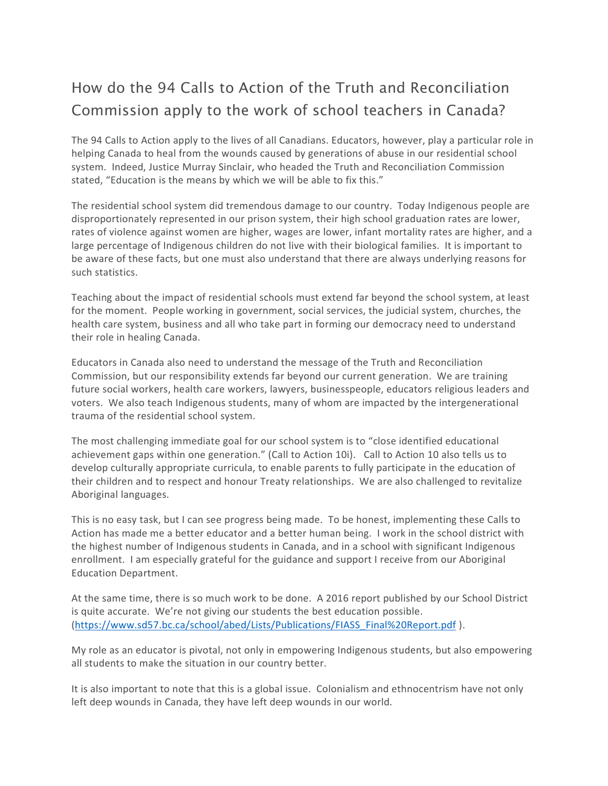## How do the 94 Calls to Action of the Truth and Reconciliation Commission apply to the work of school teachers in Canada?

The 94 Calls to Action apply to the lives of all Canadians. Educators, however, play a particular role in helping Canada to heal from the wounds caused by generations of abuse in our residential school system. Indeed, Justice Murray Sinclair, who headed the Truth and Reconciliation Commission stated, "Education is the means by which we will be able to fix this."

The residential school system did tremendous damage to our country. Today Indigenous people are disproportionately represented in our prison system, their high school graduation rates are lower, rates of violence against women are higher, wages are lower, infant mortality rates are higher, and a large percentage of Indigenous children do not live with their biological families. It is important to be aware of these facts, but one must also understand that there are always underlying reasons for such statistics.

Teaching about the impact of residential schools must extend far beyond the school system, at least for the moment. People working in government, social services, the judicial system, churches, the health care system, business and all who take part in forming our democracy need to understand their role in healing Canada.

Educators in Canada also need to understand the message of the Truth and Reconciliation Commission, but our responsibility extends far beyond our current generation. We are training future social workers, health care workers, lawyers, businesspeople, educators religious leaders and voters. We also teach Indigenous students, many of whom are impacted by the intergenerational trauma of the residential school system.

The most challenging immediate goal for our school system is to "close identified educational achievement gaps within one generation." (Call to Action 10i). Call to Action 10 also tells us to develop culturally appropriate curricula, to enable parents to fully participate in the education of their children and to respect and honour Treaty relationships. We are also challenged to revitalize Aboriginal languages.

This is no easy task, but I can see progress being made. To be honest, implementing these Calls to Action has made me a better educator and a better human being. I work in the school district with the highest number of Indigenous students in Canada, and in a school with significant Indigenous enrollment. I am especially grateful for the guidance and support I receive from our Aboriginal Education Department.

At the same time, there is so much work to be done. A 2016 report published by our School District is quite accurate. We're not giving our students the best education possible. (https://www.sd57.bc.ca/school/abed/Lists/Publications/FIASS\_Final%20Report.pdf ).

My role as an educator is pivotal, not only in empowering Indigenous students, but also empowering all students to make the situation in our country better.

It is also important to note that this is a global issue. Colonialism and ethnocentrism have not only left deep wounds in Canada, they have left deep wounds in our world.